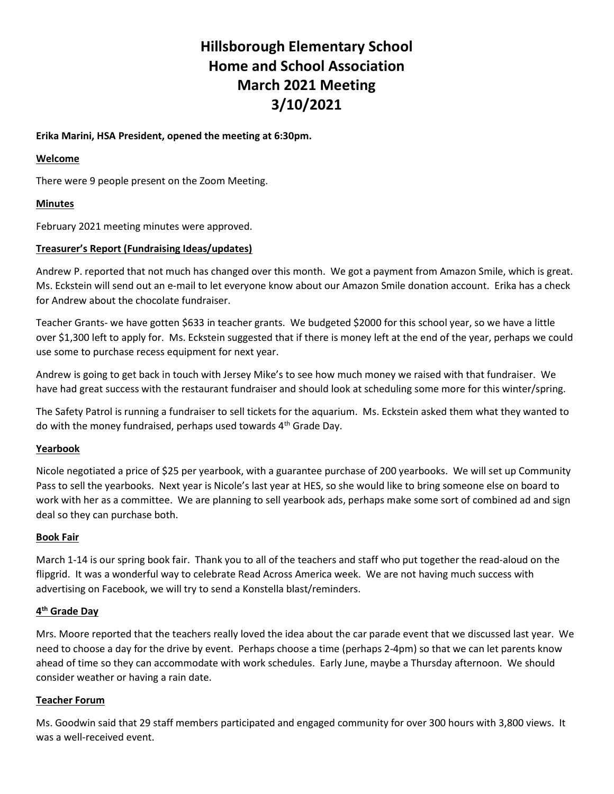# Hillsborough Elementary School Home and School Association March 2021 Meeting 3/10/2021

## Erika Marini, HSA President, opened the meeting at 6:30pm.

#### Welcome

There were 9 people present on the Zoom Meeting.

# Minutes

February 2021 meeting minutes were approved.

## Treasurer's Report (Fundraising Ideas/updates)

Andrew P. reported that not much has changed over this month. We got a payment from Amazon Smile, which is great. Ms. Eckstein will send out an e-mail to let everyone know about our Amazon Smile donation account. Erika has a check for Andrew about the chocolate fundraiser.

Teacher Grants- we have gotten \$633 in teacher grants. We budgeted \$2000 for this school year, so we have a little over \$1,300 left to apply for. Ms. Eckstein suggested that if there is money left at the end of the year, perhaps we could use some to purchase recess equipment for next year.

Andrew is going to get back in touch with Jersey Mike's to see how much money we raised with that fundraiser. We have had great success with the restaurant fundraiser and should look at scheduling some more for this winter/spring.

The Safety Patrol is running a fundraiser to sell tickets for the aquarium. Ms. Eckstein asked them what they wanted to do with the money fundraised, perhaps used towards  $4<sup>th</sup>$  Grade Day.

#### Yearbook

Nicole negotiated a price of \$25 per yearbook, with a guarantee purchase of 200 yearbooks. We will set up Community Pass to sell the yearbooks. Next year is Nicole's last year at HES, so she would like to bring someone else on board to work with her as a committee. We are planning to sell yearbook ads, perhaps make some sort of combined ad and sign deal so they can purchase both.

#### Book Fair

March 1-14 is our spring book fair. Thank you to all of the teachers and staff who put together the read-aloud on the flipgrid. It was a wonderful way to celebrate Read Across America week. We are not having much success with advertising on Facebook, we will try to send a Konstella blast/reminders.

#### 4<sup>th</sup> Grade Day

Mrs. Moore reported that the teachers really loved the idea about the car parade event that we discussed last year. We need to choose a day for the drive by event. Perhaps choose a time (perhaps 2-4pm) so that we can let parents know ahead of time so they can accommodate with work schedules. Early June, maybe a Thursday afternoon. We should consider weather or having a rain date.

# Teacher Forum

Ms. Goodwin said that 29 staff members participated and engaged community for over 300 hours with 3,800 views. It was a well-received event.